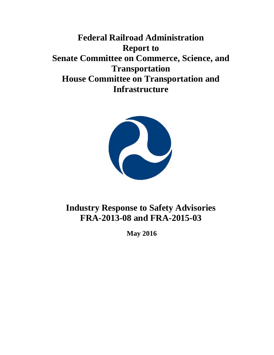**Federal Railroad Administration Report to Senate Committee on Commerce, Science, and Transportation House Committee on Transportation and Infrastructure**



## **Industry Response to Safety Advisories FRA-2013-08 and FRA-2015-03**

**May 2016**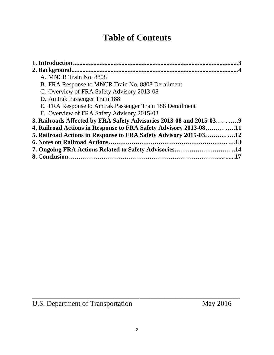# **Table of Contents**

| A. MNCR Train No. 8808                                                |  |
|-----------------------------------------------------------------------|--|
| B. FRA Response to MNCR Train No. 8808 Derailment                     |  |
| C. Overview of FRA Safety Advisory 2013-08                            |  |
| D. Amtrak Passenger Train 188                                         |  |
| E. FRA Response to Amtrak Passenger Train 188 Derailment              |  |
| F. Overview of FRA Safety Advisory 2015-03                            |  |
| 3. Railroads Affected by FRA Safety Advisories 2013-08 and 2015-03  9 |  |
| 4. Railroad Actions in Response to FRA Safety Advisory 2013-08 11     |  |
| 5. Railroad Actions in Response to FRA Safety Advisory 2015-0312      |  |
|                                                                       |  |
| 7. Ongoing FRA Actions Related to Safety Advisories14                 |  |
|                                                                       |  |

**\_\_\_\_\_\_\_\_\_\_\_\_\_\_\_\_\_\_\_\_\_\_\_\_\_\_\_\_\_\_\_\_\_\_\_\_\_\_\_\_\_\_\_\_\_\_\_\_\_\_\_\_\_\_\_\_\_\_**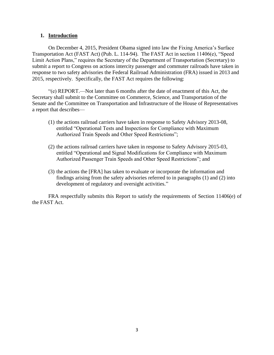#### **1. Introduction**

On December 4, 2015, President Obama signed into law the Fixing America's Surface Transportation Act (FAST Act) (Pub. L. 114-94). The FAST Act in section 11406(e), "Speed Limit Action Plans," requires the Secretary of the Department of Transportation (Secretary) to submit a report to Congress on actions intercity passenger and commuter railroads have taken in response to two safety advisories the Federal Railroad Administration (FRA) issued in 2013 and 2015, respectively. Specifically, the FAST Act requires the following:

"(e) REPORT.—Not later than 6 months after the date of enactment of this Act, the Secretary shall submit to the Committee on Commerce, Science, and Transportation of the Senate and the Committee on Transportation and Infrastructure of the House of Representatives a report that describes—

- (1) the actions railroad carriers have taken in response to Safety Advisory 2013-08, entitled "Operational Tests and Inspections for Compliance with Maximum Authorized Train Speeds and Other Speed Restrictions";
- (2) the actions railroad carriers have taken in response to Safety Advisory 2015-03, entitled "Operational and Signal Modifications for Compliance with Maximum Authorized Passenger Train Speeds and Other Speed Restrictions"; and
- (3) the actions the [FRA] has taken to evaluate or incorporate the information and findings arising from the safety advisories referred to in paragraphs (1) and (2) into development of regulatory and oversight activities."

FRA respectfully submits this Report to satisfy the requirements of Section 11406(e) of the FAST Act.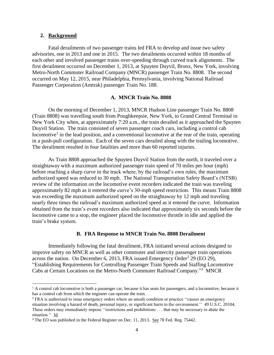#### **2. Background**

 $\overline{a}$ 

Fatal derailments of two passenger trains led FRA to develop and issue two safety advisories, one in 2013 and one in 2015. The two derailments occurred within 18 months of each other and involved passenger trains over-speeding through curved track alignments. The first derailment occurred on December 1, 2013, at Spuyten Duyvil, Bronx, New York, involving Metro-North Commuter Railroad Company (MNCR) passenger Train No. 8808. The second occurred on May 12, 2015, near Philadelphia, Pennsylvania, involving National Railroad Passenger Corporation (Amtrak) passenger Train No. 188.

#### **A. MNCR Train No. 8808**

On the morning of December 1, 2013, MNCR [Hudson Line](https://en.wikipedia.org/wiki/Hudson_Line_(Metro-North)) passenger Train No. 8808 (Train 8808) was travelling south from Poughkeepsie, New York, to Grand Central Terminal in New York City when, at approximately 7:20 a.m., the train [derailed](https://en.wikipedia.org/wiki/Derailment) as it approached the [Spuyten](https://en.wikipedia.org/wiki/Spuyten_Duyvil_(Metro-North_station)) [Duyvil Station.](https://en.wikipedia.org/wiki/Spuyten_Duyvil_(Metro-North_station)) The train consisted of seven passenger coach cars, including a control cab locomotive<sup>1</sup> in the lead position, and a conventional locomotive at the rear of the train, operating in a push-pull configuration. Each of the seven cars derailed along with the trailing locomotive. The derailment resulted in four fatalities and more than 60 reported injuries.

As Train 8808 approached the Spuyten Duyvil Station from the north, it traveled over a straightaway with a maximum authorized passenger train speed of 70 miles per hour (mph) before reaching a sharp curve in the track where, by the railroad's own rules, the maximum authorized speed was reduced to 30 mph. The National Transportation Safety Board's (NTSB) review of the information on the locomotive event recorders indicated the train was traveling approximately 82 mph as it entered the curve's 30-mph speed restriction. This means Train 8808 was exceeding the maximum authorized speed on the straightaway by 12 mph and traveling nearly three times the railroad's maximum authorized speed as it entered the curve. Information obtained from the train's event recorders also indicated that approximately six seconds before the locomotive came to a stop, the engineer placed the locomotive throttle in idle and applied the train's brake system.

#### **B. FRA Response to MNCR Train No. 8808 Derailment**

Immediately following the fatal derailment, FRA initiated several actions designed to improve safety on MNCR as well as other commuter and intercity passenger train operations across the nation. On December 6, 2013, FRA issued Emergency Order<sup>2</sup> 29 (EO 29), "Establishing Requirements for Controlling Passenger Train Speeds and Staffing Locomotive Cabs at Certain Locations on the Metro-North Commuter Railroad Company."<sup>3</sup> MNCR

<sup>&</sup>lt;sup>1</sup> A control cab locomotive is both a passenger car, because it has seats for passengers, and a locomotive, because it has a control cab from which the engineer can operate the train.

<sup>&</sup>lt;sup>2</sup> FRA is authorized to issue emergency orders where an unsafe condition or practice "causes an emergency" situation involving a hazard of death, personal injury, or significant harm to the environment.'' 49 U.S.C. 20104. These orders may immediately impose ''restrictions and prohibitions . . . that may be necessary to abate the situation." Id.

<sup>&</sup>lt;sup>3</sup> The EO was published in the Federal Register on Dec. 11, 2013. See 78 Fed. Reg. 75442.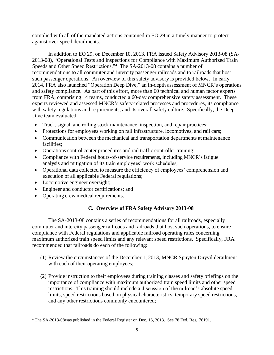complied with all of the mandated actions contained in EO 29 in a timely manner to protect against over-speed derailments.

In addition to EO 29, on December 10, 2013, FRA issued Safety Advisory 2013-08 (SA-2013-08), "Operational Tests and Inspections for Compliance with Maximum Authorized Train Speeds and Other Speed Restrictions."<sup>4</sup> The SA-2013-08 contains a number of recommendations to all commuter and intercity passenger railroads and to railroads that host such passenger operations. An overview of this safety advisory is provided below. In early 2014, FRA also launched "Operation Deep Dive," an in-depth assessment of MNCR's operations and safety compliance. As part of this effort, more than 60 technical and human factor experts from FRA, comprising 14 teams, conducted a 60-day comprehensive safety assessment. These experts reviewed and assessed MNCR's safety-related processes and procedures, its compliance with safety regulations and requirements, and its overall safety culture. Specifically, the Deep Dive team evaluated:

- Track, signal, and rolling stock maintenance, inspection, and repair practices;
- Protections for employees working on rail infrastructure, locomotives, and rail cars;
- Communication between the mechanical and transportation departments at maintenance facilities;
- Operations control center procedures and rail traffic controller training;
- Compliance with Federal hours-of-service requirements, including MNCR's fatigue analysis and mitigation of its train employees' work schedules;
- Operational data collected to measure the efficiency of employees' comprehension and execution of all applicable Federal regulations;
- Locomotive engineer oversight;

 $\overline{\phantom{a}}$ 

- Engineer and conductor certifications; and
- Operating crew medical requirements.

## **C. Overview of FRA Safety Advisory 2013-08**

The SA-2013-08 contains a series of recommendations for all railroads, especially commuter and intercity passenger railroads and railroads that host such operations, to ensure compliance with Federal regulations and applicable railroad operating rules concerning maximum authorized train speed limits and any relevant speed restrictions. Specifically, FRA recommended that railroads do each of the following:

- (1) Review the circumstances of the December 1, 2013, MNCR Spuyten Duyvil derailment with each of their operating employees;
- (2) Provide instruction to their employees during training classes and safety briefings on the importance of compliance with maximum authorized train speed limits and other speed restrictions. This training should include a discussion of the railroad's absolute speed limits, speed restrictions based on physical characteristics, temporary speed restrictions, and any other restrictions commonly encountered;

<sup>&</sup>lt;sup>4</sup> The SA-2013-08was published in the Federal Register on Dec. 16, 2013. See 78 Fed. Reg. 76191.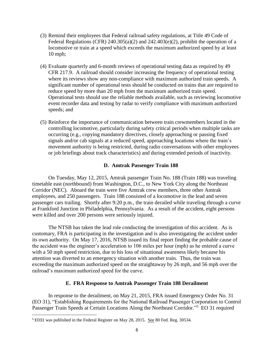- (3) Remind their employees that Federal railroad safety regulations, at Title 49 Code of Federal Regulations (CFR)  $240.305(a)(2)$  and  $242.403(e)(2)$ , prohibit the operation of a locomotive or train at a speed which exceeds the maximum authorized speed by at least 10 mph;
- (4) Evaluate quarterly and 6-month reviews of operational testing data as required by 49 CFR 217.9. A railroad should consider increasing the frequency of operational testing where its reviews show any non-compliance with maximum authorized train speeds. A significant number of operational tests should be conducted on trains that are required to reduce speed by more than 20 mph from the maximum authorized train speed. Operational tests should use the reliable methods available, such as reviewing locomotive event recorder data and testing by radar to verify compliance with maximum authorized speeds; and
- (5) Reinforce the importance of communication between train crewmembers located in the controlling locomotive, particularly during safety critical periods when multiple tasks are occurring (e.g., copying mandatory directives, closely approaching or passing fixed signals and/or cab signals at a reduced speed, approaching locations where the train's movement authority is being restricted, during radio conversations with other employees or job briefings about track characteristics) and during extended periods of inactivity.

#### **D. Amtrak Passenger Train 188**

On Tuesday, May 12, 2015, Amtrak passenger Train No. 188 (Train 188) was traveling timetable east (northbound) from Washington, D.C., to New York City along the Northeast Corridor (NEC). Aboard the train were five Amtrak crew members, three other Amtrak employees, and 250 passengers. Train 188 consisted of a locomotive in the lead and seven passenger cars trailing. Shortly after 9:20 p.m., the train derailed while traveling through a curve at Frankford Junction in Philadelphia, Pennsylvania. As a result of the accident, eight persons were killed and over 200 persons were seriously injured.

The NTSB has taken the lead role conducting the investigation of this accident. As is customary, FRA is participating in the investigation and is also investigating the accident under its own authority. On May 17, 2016, NTSB issued its final report finding the probable cause of the accident was the engineer's acceleration to 106 miles per hour (mph) as he entered a curve with a 50 mph speed restriction, due to his loss of situational awareness likely because his attention was diverted to an emergency situation with another train. Thus, the train was exceeding the maximum authorized speed on the straightaway by 26 mph, and 56 mph over the railroad's maximum authorized speed for the curve.

#### **E. FRA Response to Amtrak Passenger Train 188 Derailment**

In response to the derailment, on May 21, 2015, FRA issued Emergency Order No. 31 (EO 31), "Establishing Requirements for the National Railroad Passenger Corporation to Control Passenger Train Speeds at Certain Locations Along the Northeast Corridor."<sup>5</sup> EO 31 required

 $\overline{\phantom{a}}$ 

<sup>&</sup>lt;sup>5</sup> EO31 was published in the Federal Register on May 28, 2015. See 80 Fed. Reg. 30534.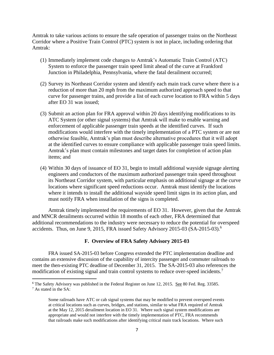Amtrak to take various actions to ensure the safe operation of passenger trains on the Northeast Corridor where a Positive Train Control (PTC) system is not in place, including ordering that Amtrak:

- (1) Immediately implement code changes to Amtrak's Automatic Train Control (ATC) System to enforce the passenger train speed limit ahead of the curve at Frankford Junction in Philadelphia, Pennsylvania, where the fatal derailment occurred;
- (2) Survey its Northeast Corridor system and identify each main track curve where there is a reduction of more than 20 mph from the maximum authorized approach speed to that curve for passenger trains, and provide a list of each curve location to FRA within 5 days after EO 31 was issued;
- (3) Submit an action plan for FRA approval within 20 days identifying modifications to its ATC System (or other signal systems) that Amtrak will make to enable warning and enforcement of applicable passenger train speeds at the identified curves. If such modifications would interfere with the timely implementation of a PTC system or are not otherwise feasible, Amtrak's plan must describe alternative procedures that it will adopt at the identified curves to ensure compliance with applicable passenger train speed limits. Amtrak's plan must contain milestones and target dates for completion of action plan items; and
- (4) Within 30 days of issuance of EO 31, begin to install additional wayside signage alerting engineers and conductors of the maximum authorized passenger train speed throughout its Northeast Corridor system, with particular emphasis on additional signage at the curve locations where significant speed reductions occur. Amtrak must identify the locations where it intends to install the additional wayside speed limit signs in its action plan, and must notify FRA when installation of the signs is completed.

Amtrak timely implemented the requirements of EO 31. However, given that the Amtrak and MNCR derailments occurred within 18 months of each other, FRA determined that additional recommendations to the industry were necessary to reduce the potential for overspeed accidents. Thus, on June 9, 2015, FRA issued Safety Advisory 2015-03 (SA-2015-03). 6

#### **F. Overview of FRA Safety Advisory 2015-03**

FRA issued SA-2015-03 before Congress extended the PTC implementation deadline and contains an extensive discussion of the capability of intercity passenger and commuter railroads to meet the then-existing PTC deadline of December 31, 2015. The SA-2015-03 also references the modification of existing signal and train control systems to reduce over-speed incidents. 7

<sup>6</sup> The Safety Advisory was published in the Federal Register on June 12, 2015. See 80 Fed. Reg. 33585. <sup>7</sup> As stated in the SA:

l

Some railroads have ATC or cab signal systems that may be modified to prevent overspeed events at critical locations such as curves, bridges, and stations, similar to what FRA required of Amtrak at the May 12, 2015 derailment location in EO 31. Where such signal system modifications are appropriate and would not interfere with the timely implementation of PTC, FRA recommends that railroads make such modifications after identifying critical main track locations. Where such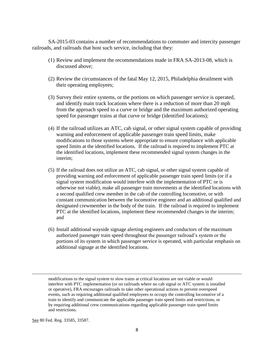SA-2015-03 contains a number of recommendations to commuter and intercity passenger railroads, and railroads that host such service, including that they:

- (1) Review and implement the recommendations made in FRA SA-2013-08, which is discussed above;
- (2) Review the circumstances of the fatal May 12, 2015, Philadelphia derailment with their operating employees;
- (3) Survey their entire systems, or the portions on which passenger service is operated, and identify main track locations where there is a reduction of more than 20 mph from the approach speed to a curve or bridge and the maximum authorized operating speed for passenger trains at that curve or bridge (identified locations);
- (4) If the railroad utilizes an ATC, cab signal, or other signal system capable of providing warning and enforcement of applicable passenger train speed limits, make modifications to those systems where appropriate to ensure compliance with applicable speed limits at the identified locations. If the railroad is required to implement PTC at the identified locations, implement these recommended signal system changes in the interim;
- (5) If the railroad does not utilize an ATC, cab signal, or other signal system capable of providing warning and enforcement of applicable passenger train speed limits (or if a signal system modification would interfere with the implementation of PTC or is otherwise not viable), make all passenger train movements at the identified locations with a second qualified crew member in the cab of the controlling locomotive, or with constant communication between the locomotive engineer and an additional qualified and designated crewmember in the body of the train. If the railroad is required to implement PTC at the identified locations, implement these recommended changes in the interim; and
- (6) Install additional wayside signage alerting engineers and conductors of the maximum authorized passenger train speed throughout the passenger railroad's system or the portions of its system in which passenger service is operated, with particular emphasis on additional signage at the identified locations.

See 80 Fed. Reg. 33585, 33587.

 $\overline{\phantom{a}}$ 

modifications to the signal system to slow trains at critical locations are not viable or would interfere with PTC implementation (or on railroads where no cab signal or ATC system is installed or operative), FRA encourages railroads to take other operational actions to prevent overspeed events, such as requiring additional qualified employees to occupy the controlling locomotive of a train to identify and communicate the applicable passenger train speed limits and restrictions, or by requiring additional crew communications regarding applicable passenger train speed limits and restrictions.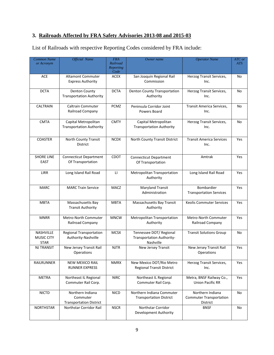## **3. Railroads Affected by FRA Safety Advisories 2013-08 and 2015-03**

| <b>Common Name</b><br>or Acronym                     | <b>Official Name</b>                                           | <b>FRA</b><br>Railroad<br>Reporting<br>Code | Owner name                                                                                                                    | <b>Operator Name</b>                                | ATC or<br><b>ATS</b> |
|------------------------------------------------------|----------------------------------------------------------------|---------------------------------------------|-------------------------------------------------------------------------------------------------------------------------------|-----------------------------------------------------|----------------------|
| <b>ACE</b>                                           | <b>Altamont Commuter</b><br><b>Express Authority</b>           | ACEX                                        | San Joaquin Regional Rail<br>Herzog Transit Services,<br>Commission<br>Inc.                                                   |                                                     | No.                  |
| <b>DCTA</b>                                          | <b>Denton County</b><br><b>Transportation Authority</b>        | <b>DCTA</b>                                 | <b>Denton County Transportation</b><br>Authority                                                                              | Herzog Transit Services,<br>Inc.                    | No                   |
| <b>CALTRAIN</b>                                      | <b>Caltrain Commuter</b><br>Railroad Company                   | PCMZ                                        | Transit America Services,<br>Peninsula Corridor Joint<br>Inc.<br>Powers Board                                                 |                                                     | No                   |
| <b>CMTA</b>                                          | Capital Metropolitan<br><b>Transportation Authority</b>        | <b>CMTY</b>                                 | Capital Metropolitan<br>Herzog Transit Services,<br><b>Transportation Authority</b><br>Inc.                                   |                                                     | No                   |
| <b>COASTER</b>                                       | North County Transit<br><b>District</b>                        | <b>NCDX</b>                                 | North County Transit District                                                                                                 | <b>Transit America Services</b><br>Inc.             | Yes                  |
| <b>SHORE LINE</b><br>EAST                            | <b>Connecticut Department</b><br>Of Transportation             | <b>CDOT</b>                                 | <b>Connecticut Department</b><br>Of Transportation                                                                            | Amtrak                                              | Yes                  |
| <b>LIRR</b>                                          | Long Island Rail Road                                          | $\mathsf{L}$                                | Metropolitan Transportation<br>Authority                                                                                      | Long Island Rail Road                               | Yes                  |
| <b>MARC</b>                                          | <b>MARC Train Service</b>                                      | <b>MACZ</b>                                 | <b>Maryland Transit</b><br>Administration                                                                                     | Bombardier<br><b>Transportation Services</b>        | Yes                  |
| <b>MBTA</b>                                          | Massachusetts Bay<br><b>Transit Authority</b>                  | <b>MBTA</b>                                 | Massachusetts Bay Transit<br>Authority                                                                                        | <b>Keolis Commuter Services</b>                     | Yes                  |
| <b>MNRR</b>                                          | <b>Metro-North Commuter</b><br>Railroad Company                | <b>MNCW</b>                                 | Metropolitan Transportation<br>Authority                                                                                      | <b>Metro-North Commuter</b><br>Railroad Company     | Yes                  |
| <b>NASHVILLE</b><br><b>MUSIC CITY</b><br><b>STAR</b> | <b>Regional Transportation</b><br>Authority-Nashville          | <b>MCSX</b>                                 | Tennessee DOT/ Regional<br>Transportation Authority-<br>Nashville                                                             | <b>Transit Solutions Group</b>                      | No                   |
| <b>NJ TRANSIT</b>                                    | New Jersey Transit Rail<br>Operations                          | <b>NJTR</b>                                 | New Jersey Transit                                                                                                            | New Jersey Transit Rail<br>Operations               | Yes                  |
| RAILRUNNER                                           | NEW MEXICO RAIL<br><b>RUNNER EXPRESS</b>                       | <b>NMRX</b>                                 | New Mexico DOT/Rio Metro<br><b>Regional Transit District</b>                                                                  | Herzog Transit Services,<br>Inc.                    | Yes                  |
| METRA                                                | Northeast IL Regional<br>Commuter Rail Corp.                   | <b>NIRC</b>                                 | Northeast IL Regional<br>Commuter Rail Corp.                                                                                  | Metra, BNSF Railway Co.,<br><b>Union Pacific RR</b> | Yes                  |
| <b>NICTD</b>                                         | Northern Indiana<br>Commuter<br><b>Transportation District</b> | <b>NICD</b>                                 | Northern Indiana Commuter<br>Northern Indiana<br><b>Commuter Transportation</b><br><b>Transportation District</b><br>District |                                                     | No                   |
| <b>NORTHSTAR</b>                                     | Northstar Corridor Rail                                        | <b>NSCR</b>                                 | Northstar Corridor<br>Development Authority                                                                                   | <b>BNSF</b>                                         | No                   |

List of Railroads with respective Reporting Codes considered by FRA include: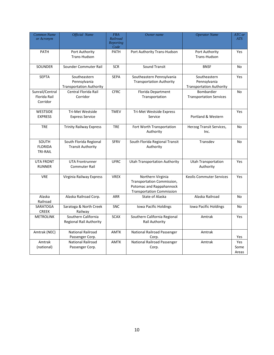| Common Name<br>or Acronym                   | <b>Official Name</b>                                            | <b>FRA</b><br>Railroad<br><b>Reporting</b><br>Code | Owner name                                                                                                                      | <b>Operator Name</b>                         | ATC or<br>ATS        |
|---------------------------------------------|-----------------------------------------------------------------|----------------------------------------------------|---------------------------------------------------------------------------------------------------------------------------------|----------------------------------------------|----------------------|
| <b>PATH</b>                                 | Port Authority<br>Trans-Hudson                                  | <b>PATH</b>                                        | Port Authority<br>Port Authority Trans-Hudson<br>Trans-Hudson                                                                   |                                              | Yes                  |
| <b>SOUNDER</b>                              | Sounder Commuter Rail                                           | <b>SCR</b>                                         | Sound Transit                                                                                                                   | <b>BNSF</b>                                  | No                   |
| <b>SEPTA</b>                                | Southeastern<br>Pennsylvania<br><b>Transportation Authority</b> | <b>SEPA</b>                                        | Southeastern Pennsylvania<br>Southeastern<br><b>Transportation Authority</b><br>Pennsylvania<br><b>Transportation Authority</b> |                                              | Yes                  |
| Sunrail/Central<br>Florida Rail<br>Corridor | Central Florida Rail<br>Corridor                                | <b>CFRC</b>                                        | Florida Department<br>Transportation                                                                                            | Bombardier<br><b>Transportation Services</b> | No                   |
| <b>WESTSIDE</b><br><b>EXPRESS</b>           | Tri-Met Westside<br><b>Express Service</b>                      | <b>TMEV</b>                                        | Tri-Met Westside Express<br>Service                                                                                             | Portland & Western                           | Yes                  |
| <b>TRE</b>                                  | <b>Trinity Railway Express</b>                                  | <b>TRE</b>                                         | Fort Worth Transportation<br>Authority                                                                                          | Herzog Transit Services,<br>Inc.             | No                   |
| SOUTH<br><b>FLORIDA</b><br><b>TRI-RAIL</b>  | South Florida Regional<br><b>Transit Authority</b>              | <b>SFRV</b>                                        | South Florida Regional Transit<br>Authority                                                                                     | Transdev                                     | No                   |
| <b>UTA FRONT</b><br><b>RUNNER</b>           | <b>UTA Frontrunner</b><br><b>Commuter Rail</b>                  | <b>UFRC</b>                                        | <b>Utah Transportation Authority</b>                                                                                            | <b>Utah Transportation</b><br>Authority      | Yes                  |
| <b>VRE</b>                                  | Virginia Railway Express                                        | <b>VREX</b>                                        | Northern Virginia<br>Transportation Commission,<br>Potomac and Rappahannock<br><b>Transportation Commission</b>                 | <b>Keolis Commuter Services</b>              | Yes                  |
| Alaska<br>Railroad                          | Alaska Railroad Corp.                                           | <b>ARR</b>                                         | State of Alaska                                                                                                                 | Alaska Railroad                              | <b>No</b>            |
| SARATOGA<br><b>CREEK</b>                    | Saratoga & North Creek<br>Railway                               | <b>SNC</b>                                         | Iowa Pacific Holdings                                                                                                           | Iowa Pacific Holdings                        | No                   |
| <b>METROLINK</b>                            | Southern California<br><b>Regional Rail Authority</b>           | <b>SCAX</b>                                        | Southern California Regional<br>Amtrak<br>Rail Authority                                                                        |                                              | Yes                  |
| Amtrak (NEC)                                | National Railroad<br>Passenger Corp.                            | <b>AMTK</b>                                        | National Railroad Passenger<br>Corp.                                                                                            | Amtrak                                       | Yes                  |
| Amtrak<br>(national)                        | <b>National Railroad</b><br>Passenger Corp.                     | <b>AMTK</b>                                        | <b>National Railroad Passenger</b><br>Corp.                                                                                     | Amtrak                                       | Yes<br>Some<br>Areas |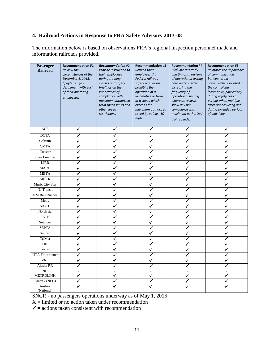## **4. Railroad Actions in Response to FRA Safety Advisory 2013-08**

The information below is based on observations FRA's regional inspection personnel made and information railroads provided.

| Passenger<br><b>Railroad</b> | <b>Recommendation #1</b><br><b>Review the</b><br>circumstances of the<br>December 1, 2013,<br>Spuyten Duyvil<br>derailment with each<br>of their operating<br>employees. | <b>Recommendation #2</b><br>Provide instruction to<br>their employees<br>during training<br>classes and safety<br>briefings on the<br>importance of<br>compliance with<br>maximum authorized<br>train speed limits and<br>other speed<br>restrictions. | <b>Recommendation #3</b><br>Remind their<br>employees that<br>Federal railroad<br>safety regulation<br>prohibits the<br>operation of a<br>locomotive or train<br>at a speed which<br>exceeds the<br>maximum authorized<br>speed by at least 10<br>mph. | <b>Recommendation #4</b><br>Evaluate quarterly<br>and 6-month reviews<br>of operational testing<br>data and consider<br>increasing the<br>frequency of<br>operational testing<br>where its reviews<br>show any non-<br>compliance with<br>maximum authorized<br>train speeds. | <b>Recommendation #5</b><br>Reinforce the importance<br>of communication<br>between train<br>crewmembers located in<br>the controlling<br>locomotive, particularly<br>during safety critical<br>periods when multiple<br>tasks are occurring and<br>during extended periods<br>of inactivity. |
|------------------------------|--------------------------------------------------------------------------------------------------------------------------------------------------------------------------|--------------------------------------------------------------------------------------------------------------------------------------------------------------------------------------------------------------------------------------------------------|--------------------------------------------------------------------------------------------------------------------------------------------------------------------------------------------------------------------------------------------------------|-------------------------------------------------------------------------------------------------------------------------------------------------------------------------------------------------------------------------------------------------------------------------------|-----------------------------------------------------------------------------------------------------------------------------------------------------------------------------------------------------------------------------------------------------------------------------------------------|
| ACE                          | ✓                                                                                                                                                                        | ✓                                                                                                                                                                                                                                                      | ✓                                                                                                                                                                                                                                                      | ✓                                                                                                                                                                                                                                                                             | ✓                                                                                                                                                                                                                                                                                             |
| <b>DCTA</b>                  | ✓                                                                                                                                                                        | ✓                                                                                                                                                                                                                                                      | ✓                                                                                                                                                                                                                                                      | ✓                                                                                                                                                                                                                                                                             | ✓                                                                                                                                                                                                                                                                                             |
| Caltrain                     | ✓                                                                                                                                                                        | ✓                                                                                                                                                                                                                                                      | $\checkmark$                                                                                                                                                                                                                                           | $\checkmark$                                                                                                                                                                                                                                                                  | ✓                                                                                                                                                                                                                                                                                             |
| <b>CMTA</b>                  | ✓                                                                                                                                                                        | ✓                                                                                                                                                                                                                                                      | ✓                                                                                                                                                                                                                                                      | ✓                                                                                                                                                                                                                                                                             | ✓                                                                                                                                                                                                                                                                                             |
| Coaster                      | ✓                                                                                                                                                                        | $\checkmark$                                                                                                                                                                                                                                           | ✓                                                                                                                                                                                                                                                      | ✓                                                                                                                                                                                                                                                                             | ✓                                                                                                                                                                                                                                                                                             |
| Shore Line East              | ✓                                                                                                                                                                        | ✓                                                                                                                                                                                                                                                      | ✓                                                                                                                                                                                                                                                      |                                                                                                                                                                                                                                                                               | ✓                                                                                                                                                                                                                                                                                             |
| <b>LIRR</b>                  | ✓                                                                                                                                                                        | ✓                                                                                                                                                                                                                                                      | ✓                                                                                                                                                                                                                                                      | $\checkmark$                                                                                                                                                                                                                                                                  | ✓                                                                                                                                                                                                                                                                                             |
| <b>MARC</b>                  | $\checkmark$                                                                                                                                                             | √                                                                                                                                                                                                                                                      | √                                                                                                                                                                                                                                                      | $\checkmark$                                                                                                                                                                                                                                                                  |                                                                                                                                                                                                                                                                                               |
| <b>MBTA</b>                  | $\checkmark$                                                                                                                                                             | ✓                                                                                                                                                                                                                                                      | ✓                                                                                                                                                                                                                                                      | ✓                                                                                                                                                                                                                                                                             | ✓                                                                                                                                                                                                                                                                                             |
| <b>MNCR</b>                  | ✓                                                                                                                                                                        | ✓                                                                                                                                                                                                                                                      | $\checkmark$                                                                                                                                                                                                                                           | $\checkmark$                                                                                                                                                                                                                                                                  | ✓                                                                                                                                                                                                                                                                                             |
| Music City Star              | $\checkmark$                                                                                                                                                             | ✓                                                                                                                                                                                                                                                      | ✓                                                                                                                                                                                                                                                      | $\checkmark$                                                                                                                                                                                                                                                                  | ✓                                                                                                                                                                                                                                                                                             |
| NJ Transit                   | ✓                                                                                                                                                                        | ✓                                                                                                                                                                                                                                                      | √                                                                                                                                                                                                                                                      | $\checkmark$                                                                                                                                                                                                                                                                  | ✓                                                                                                                                                                                                                                                                                             |
| NM Rail Runner               | ✓                                                                                                                                                                        | ✓                                                                                                                                                                                                                                                      | ✓                                                                                                                                                                                                                                                      | ✓                                                                                                                                                                                                                                                                             |                                                                                                                                                                                                                                                                                               |
| Metra                        | ✓                                                                                                                                                                        | ✓                                                                                                                                                                                                                                                      | ✓                                                                                                                                                                                                                                                      | ✓                                                                                                                                                                                                                                                                             | ✓                                                                                                                                                                                                                                                                                             |
| <b>NICTD</b>                 | ✓                                                                                                                                                                        | ✓                                                                                                                                                                                                                                                      | ✓                                                                                                                                                                                                                                                      | ✓                                                                                                                                                                                                                                                                             | ✓                                                                                                                                                                                                                                                                                             |
| North star                   | ✓                                                                                                                                                                        | ✓                                                                                                                                                                                                                                                      | ✓                                                                                                                                                                                                                                                      | $\checkmark$                                                                                                                                                                                                                                                                  | ✓                                                                                                                                                                                                                                                                                             |
| <b>PATH</b>                  | ✓                                                                                                                                                                        | ✓                                                                                                                                                                                                                                                      | ✓                                                                                                                                                                                                                                                      | ✓                                                                                                                                                                                                                                                                             | ✓                                                                                                                                                                                                                                                                                             |
| Sounder                      | ✓                                                                                                                                                                        | ✓                                                                                                                                                                                                                                                      | ✓                                                                                                                                                                                                                                                      | ✓                                                                                                                                                                                                                                                                             | ✓                                                                                                                                                                                                                                                                                             |
| <b>SEPTA</b>                 | $\checkmark$                                                                                                                                                             | ✓                                                                                                                                                                                                                                                      | ✓                                                                                                                                                                                                                                                      | ✓                                                                                                                                                                                                                                                                             | ✓                                                                                                                                                                                                                                                                                             |
| Sunrail                      | ✓                                                                                                                                                                        | ✓                                                                                                                                                                                                                                                      | ✓                                                                                                                                                                                                                                                      | $\checkmark$                                                                                                                                                                                                                                                                  | ✓                                                                                                                                                                                                                                                                                             |
| TriMet                       | ✓                                                                                                                                                                        | ✓                                                                                                                                                                                                                                                      | √                                                                                                                                                                                                                                                      | $\checkmark$                                                                                                                                                                                                                                                                  | ✓                                                                                                                                                                                                                                                                                             |
| <b>TRE</b>                   | ✓                                                                                                                                                                        | ✓                                                                                                                                                                                                                                                      | ✓                                                                                                                                                                                                                                                      | ✓                                                                                                                                                                                                                                                                             | ✓                                                                                                                                                                                                                                                                                             |
| Tri-rail                     | ✓                                                                                                                                                                        | ✓                                                                                                                                                                                                                                                      | $\checkmark$                                                                                                                                                                                                                                           | $\checkmark$                                                                                                                                                                                                                                                                  | $\checkmark$                                                                                                                                                                                                                                                                                  |
| <b>UTA Frontrunner</b>       | $\checkmark$                                                                                                                                                             | ✓                                                                                                                                                                                                                                                      | ✓                                                                                                                                                                                                                                                      | ✓                                                                                                                                                                                                                                                                             | ✓                                                                                                                                                                                                                                                                                             |
| <b>VRE</b>                   | ✓                                                                                                                                                                        | ✓                                                                                                                                                                                                                                                      | ✓                                                                                                                                                                                                                                                      | $\checkmark$                                                                                                                                                                                                                                                                  | ✓                                                                                                                                                                                                                                                                                             |
| Alaska RR                    | ✓                                                                                                                                                                        | ✓                                                                                                                                                                                                                                                      | ✓                                                                                                                                                                                                                                                      | ✓                                                                                                                                                                                                                                                                             |                                                                                                                                                                                                                                                                                               |
| <b>SNCR</b>                  | Ĭ.                                                                                                                                                                       | $\overline{\phantom{a}}$                                                                                                                                                                                                                               | $\overline{\phantom{a}}$                                                                                                                                                                                                                               |                                                                                                                                                                                                                                                                               |                                                                                                                                                                                                                                                                                               |
| <b>METROLINK</b>             | ✓                                                                                                                                                                        | ✓                                                                                                                                                                                                                                                      | $\checkmark$                                                                                                                                                                                                                                           | $\checkmark$                                                                                                                                                                                                                                                                  | $\checkmark$                                                                                                                                                                                                                                                                                  |
| Amtrak (NEC)                 | ✓                                                                                                                                                                        |                                                                                                                                                                                                                                                        |                                                                                                                                                                                                                                                        |                                                                                                                                                                                                                                                                               |                                                                                                                                                                                                                                                                                               |
| Amtrak<br>(National)         |                                                                                                                                                                          |                                                                                                                                                                                                                                                        |                                                                                                                                                                                                                                                        |                                                                                                                                                                                                                                                                               |                                                                                                                                                                                                                                                                                               |

SNCR - no passengers operations underway as of May 1, 2016

 $X =$  limited or no action taken under recommendation

 $\checkmark$  = actions taken consistent with recommendation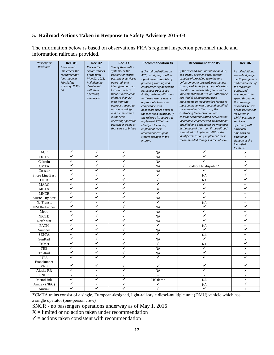### **5. Railroad Actions Taken in Response to Safety Advisory 2015-03**

The information below is based on observations FRA's regional inspection personnel made and information railroads provided.

| Passenger            | <b>Rec. #1</b>                                                                                            | <b>Rec. #2</b>                                                                                                                      | <b>Rec. #3</b>                                                                                                                                                                                                                                                                                                                                             | <b>Recommendation #4</b>                                                                                                                                                                                                                                                                                                                                                                                                                                                                            | <b>Recommendation #5</b>                                                                                                                                                                                                                                                                                                                                                                                                                                                                                                                                                                                                                                                                                                                                                   | <b>Rec. #6</b>                                                                                                                                                                                                                                                                                                                                                                |
|----------------------|-----------------------------------------------------------------------------------------------------------|-------------------------------------------------------------------------------------------------------------------------------------|------------------------------------------------------------------------------------------------------------------------------------------------------------------------------------------------------------------------------------------------------------------------------------------------------------------------------------------------------------|-----------------------------------------------------------------------------------------------------------------------------------------------------------------------------------------------------------------------------------------------------------------------------------------------------------------------------------------------------------------------------------------------------------------------------------------------------------------------------------------------------|----------------------------------------------------------------------------------------------------------------------------------------------------------------------------------------------------------------------------------------------------------------------------------------------------------------------------------------------------------------------------------------------------------------------------------------------------------------------------------------------------------------------------------------------------------------------------------------------------------------------------------------------------------------------------------------------------------------------------------------------------------------------------|-------------------------------------------------------------------------------------------------------------------------------------------------------------------------------------------------------------------------------------------------------------------------------------------------------------------------------------------------------------------------------|
| Railroad             | Review and<br>implement the<br>recommendat-<br>ions made in<br><b>FRA Safety</b><br>Advisory 2013-<br>08. | Review the<br>circumstances<br>of the fatal<br>May 12, 2015,<br>Philadelphia<br>derailment<br>with their<br>operating<br>employees. | Survey their entire<br>systems, or the<br>portions on which<br>passenger service is<br>operated, and<br>identify main track<br>locations where<br>there is a reduction<br>of more than 20<br>mph from the<br>approach speed to<br>a curve or bridge<br>and the maximum<br>authorized<br>operating speed for<br>passenger trains at<br>that curve or bridge | If the railroad utilizes an<br>ATC, cab signal, or other<br>signal system capable of<br>providing warning and<br>enforcement of applicable<br>passenger train speed<br>limits, make modifications<br>to those systems where<br>appropriate to ensure<br>compliance with<br>applicable speed limits at<br>the identified locations. If<br>the railroad is required to<br>implement PTC at the<br>identified locations,<br>implement these<br>recommended signal<br>system changes in the<br>interim. | If the railroad does not utilize an ATC,<br>cab signal, or other signal system<br>capable of providing warning and<br>enforcement of applicable passenger<br>train speed limits (or if a signal system<br>modification would interfere with the<br>implementation of PTC or is otherwise<br>not viable) all passenger train<br>movements at the identified locations<br>must be made with a second qualified<br>crew member in the cab of the<br>controlling locomotive, or with<br>constant communication between the<br>locomotive engineer and an additional<br>qualified and designated crewmember<br>in the body of the train. If the railroad<br>is required to implement PTC at the<br>identified locations, implement these<br>recommended changes in the interim. | Install additional<br>wayside signage<br>alerting engineers<br>and conductors of<br>the maximum<br>authorized<br>passenger train<br>speed throughout<br>the passenger<br>railroad's system<br>or the portions of<br>its system in<br>which passenger<br>service is<br>operated, with<br>particular<br>emphasis on<br>additional<br>signage at the<br>identified<br>locations. |
| <b>ACE</b>           | ✓                                                                                                         | ✓                                                                                                                                   | ✓                                                                                                                                                                                                                                                                                                                                                          |                                                                                                                                                                                                                                                                                                                                                                                                                                                                                                     | ✓                                                                                                                                                                                                                                                                                                                                                                                                                                                                                                                                                                                                                                                                                                                                                                          |                                                                                                                                                                                                                                                                                                                                                                               |
| <b>DCTA</b>          | ✓                                                                                                         | ✓                                                                                                                                   | ✓                                                                                                                                                                                                                                                                                                                                                          | <b>NA</b><br><b>NA</b>                                                                                                                                                                                                                                                                                                                                                                                                                                                                              | ✓                                                                                                                                                                                                                                                                                                                                                                                                                                                                                                                                                                                                                                                                                                                                                                          | X<br>X                                                                                                                                                                                                                                                                                                                                                                        |
| Caltrain             | ✓                                                                                                         | ✓                                                                                                                                   | ✓                                                                                                                                                                                                                                                                                                                                                          | <b>NA</b>                                                                                                                                                                                                                                                                                                                                                                                                                                                                                           |                                                                                                                                                                                                                                                                                                                                                                                                                                                                                                                                                                                                                                                                                                                                                                            | X                                                                                                                                                                                                                                                                                                                                                                             |
| <b>CMTA</b>          | ✓                                                                                                         | ✓                                                                                                                                   | ✓                                                                                                                                                                                                                                                                                                                                                          | <b>NA</b>                                                                                                                                                                                                                                                                                                                                                                                                                                                                                           | Call out to dispatch*                                                                                                                                                                                                                                                                                                                                                                                                                                                                                                                                                                                                                                                                                                                                                      | ✓                                                                                                                                                                                                                                                                                                                                                                             |
| Coaster              | ✓                                                                                                         | ✓                                                                                                                                   | ✓                                                                                                                                                                                                                                                                                                                                                          | <b>NA</b>                                                                                                                                                                                                                                                                                                                                                                                                                                                                                           | ✓                                                                                                                                                                                                                                                                                                                                                                                                                                                                                                                                                                                                                                                                                                                                                                          | ✓                                                                                                                                                                                                                                                                                                                                                                             |
| Shore Line East      | ✓                                                                                                         | ✓                                                                                                                                   | ✓                                                                                                                                                                                                                                                                                                                                                          | ✓                                                                                                                                                                                                                                                                                                                                                                                                                                                                                                   | <b>NA</b>                                                                                                                                                                                                                                                                                                                                                                                                                                                                                                                                                                                                                                                                                                                                                                  | ✓                                                                                                                                                                                                                                                                                                                                                                             |
| <b>LIRR</b>          | ✓                                                                                                         | ✓                                                                                                                                   | ✓                                                                                                                                                                                                                                                                                                                                                          | ✓                                                                                                                                                                                                                                                                                                                                                                                                                                                                                                   | <b>NA</b>                                                                                                                                                                                                                                                                                                                                                                                                                                                                                                                                                                                                                                                                                                                                                                  | ✓                                                                                                                                                                                                                                                                                                                                                                             |
| <b>MARC</b>          | ✓                                                                                                         | ✓                                                                                                                                   | ✓                                                                                                                                                                                                                                                                                                                                                          | ✓                                                                                                                                                                                                                                                                                                                                                                                                                                                                                                   | ✓                                                                                                                                                                                                                                                                                                                                                                                                                                                                                                                                                                                                                                                                                                                                                                          | ✓                                                                                                                                                                                                                                                                                                                                                                             |
| <b>MBTA</b>          | ✓                                                                                                         | ✓                                                                                                                                   | √                                                                                                                                                                                                                                                                                                                                                          | X                                                                                                                                                                                                                                                                                                                                                                                                                                                                                                   | ✓                                                                                                                                                                                                                                                                                                                                                                                                                                                                                                                                                                                                                                                                                                                                                                          | ✓                                                                                                                                                                                                                                                                                                                                                                             |
| <b>MNCR</b>          | ✓                                                                                                         | ✓                                                                                                                                   | ✓                                                                                                                                                                                                                                                                                                                                                          | ✓                                                                                                                                                                                                                                                                                                                                                                                                                                                                                                   | ✓                                                                                                                                                                                                                                                                                                                                                                                                                                                                                                                                                                                                                                                                                                                                                                          | ✓                                                                                                                                                                                                                                                                                                                                                                             |
| Music City Star      | ✓                                                                                                         | ✓                                                                                                                                   | ✓                                                                                                                                                                                                                                                                                                                                                          | <b>NA</b>                                                                                                                                                                                                                                                                                                                                                                                                                                                                                           | ✓                                                                                                                                                                                                                                                                                                                                                                                                                                                                                                                                                                                                                                                                                                                                                                          | X                                                                                                                                                                                                                                                                                                                                                                             |
| NJ Transit           | ✓                                                                                                         | ✓                                                                                                                                   | ✓                                                                                                                                                                                                                                                                                                                                                          | ✓                                                                                                                                                                                                                                                                                                                                                                                                                                                                                                   | <b>NA</b>                                                                                                                                                                                                                                                                                                                                                                                                                                                                                                                                                                                                                                                                                                                                                                  | 7                                                                                                                                                                                                                                                                                                                                                                             |
| <b>NM Railrunner</b> | ✓                                                                                                         | ✓                                                                                                                                   | ✓                                                                                                                                                                                                                                                                                                                                                          | <b>NA</b>                                                                                                                                                                                                                                                                                                                                                                                                                                                                                           | ✓                                                                                                                                                                                                                                                                                                                                                                                                                                                                                                                                                                                                                                                                                                                                                                          | ✓                                                                                                                                                                                                                                                                                                                                                                             |
| Metra                | ✓                                                                                                         | ✓                                                                                                                                   | ✓                                                                                                                                                                                                                                                                                                                                                          | <b>NA</b>                                                                                                                                                                                                                                                                                                                                                                                                                                                                                           | ✓                                                                                                                                                                                                                                                                                                                                                                                                                                                                                                                                                                                                                                                                                                                                                                          | ✓                                                                                                                                                                                                                                                                                                                                                                             |
| <b>NICTD</b>         | ✓                                                                                                         | ✓                                                                                                                                   | ✓                                                                                                                                                                                                                                                                                                                                                          | <b>NA</b>                                                                                                                                                                                                                                                                                                                                                                                                                                                                                           | ✓                                                                                                                                                                                                                                                                                                                                                                                                                                                                                                                                                                                                                                                                                                                                                                          | ✓                                                                                                                                                                                                                                                                                                                                                                             |
| North star           | ✓                                                                                                         | ✓                                                                                                                                   | ✓                                                                                                                                                                                                                                                                                                                                                          | <b>NA</b>                                                                                                                                                                                                                                                                                                                                                                                                                                                                                           | ✓                                                                                                                                                                                                                                                                                                                                                                                                                                                                                                                                                                                                                                                                                                                                                                          | ✓                                                                                                                                                                                                                                                                                                                                                                             |
| <b>PATH</b>          | ✓                                                                                                         | ✓                                                                                                                                   | ✓                                                                                                                                                                                                                                                                                                                                                          | ✓                                                                                                                                                                                                                                                                                                                                                                                                                                                                                                   | <b>NA</b>                                                                                                                                                                                                                                                                                                                                                                                                                                                                                                                                                                                                                                                                                                                                                                  | ✓                                                                                                                                                                                                                                                                                                                                                                             |
| Sounder              | ✓                                                                                                         | ✓                                                                                                                                   | ✓                                                                                                                                                                                                                                                                                                                                                          | <b>NA</b>                                                                                                                                                                                                                                                                                                                                                                                                                                                                                           | ✓                                                                                                                                                                                                                                                                                                                                                                                                                                                                                                                                                                                                                                                                                                                                                                          | ✓                                                                                                                                                                                                                                                                                                                                                                             |
| <b>SEPTA</b>         | ✓                                                                                                         | ✓                                                                                                                                   | ✓                                                                                                                                                                                                                                                                                                                                                          | ✓                                                                                                                                                                                                                                                                                                                                                                                                                                                                                                   | <b>NA</b>                                                                                                                                                                                                                                                                                                                                                                                                                                                                                                                                                                                                                                                                                                                                                                  | ✓                                                                                                                                                                                                                                                                                                                                                                             |
| SunRail              | ✓                                                                                                         | ✓                                                                                                                                   | ✓                                                                                                                                                                                                                                                                                                                                                          | <b>NA</b>                                                                                                                                                                                                                                                                                                                                                                                                                                                                                           | ✓                                                                                                                                                                                                                                                                                                                                                                                                                                                                                                                                                                                                                                                                                                                                                                          | X                                                                                                                                                                                                                                                                                                                                                                             |
| TriMet               | ✓                                                                                                         | ✓                                                                                                                                   | ✓                                                                                                                                                                                                                                                                                                                                                          | ✓                                                                                                                                                                                                                                                                                                                                                                                                                                                                                                   | <b>NA</b>                                                                                                                                                                                                                                                                                                                                                                                                                                                                                                                                                                                                                                                                                                                                                                  | ✓                                                                                                                                                                                                                                                                                                                                                                             |
| <b>TRE</b>           | ✓                                                                                                         | ✓                                                                                                                                   | ✓                                                                                                                                                                                                                                                                                                                                                          | <b>NA</b>                                                                                                                                                                                                                                                                                                                                                                                                                                                                                           | ✓                                                                                                                                                                                                                                                                                                                                                                                                                                                                                                                                                                                                                                                                                                                                                                          | Χ                                                                                                                                                                                                                                                                                                                                                                             |
| Tri-Rail             | ✓                                                                                                         | ✓                                                                                                                                   | ✓                                                                                                                                                                                                                                                                                                                                                          | <b>NA</b>                                                                                                                                                                                                                                                                                                                                                                                                                                                                                           | ✓                                                                                                                                                                                                                                                                                                                                                                                                                                                                                                                                                                                                                                                                                                                                                                          | X                                                                                                                                                                                                                                                                                                                                                                             |
| <b>UTA</b>           | ✓                                                                                                         | ✓                                                                                                                                   | ✓                                                                                                                                                                                                                                                                                                                                                          | ✓                                                                                                                                                                                                                                                                                                                                                                                                                                                                                                   | ✓                                                                                                                                                                                                                                                                                                                                                                                                                                                                                                                                                                                                                                                                                                                                                                          | ✓                                                                                                                                                                                                                                                                                                                                                                             |
| FrontRunner          |                                                                                                           |                                                                                                                                     |                                                                                                                                                                                                                                                                                                                                                            |                                                                                                                                                                                                                                                                                                                                                                                                                                                                                                     |                                                                                                                                                                                                                                                                                                                                                                                                                                                                                                                                                                                                                                                                                                                                                                            |                                                                                                                                                                                                                                                                                                                                                                               |
| <b>VRE</b>           | √                                                                                                         | ✓                                                                                                                                   | √                                                                                                                                                                                                                                                                                                                                                          | ✓                                                                                                                                                                                                                                                                                                                                                                                                                                                                                                   | ٧                                                                                                                                                                                                                                                                                                                                                                                                                                                                                                                                                                                                                                                                                                                                                                          | ✓                                                                                                                                                                                                                                                                                                                                                                             |
| Alaska RR            | ✓                                                                                                         | ✓                                                                                                                                   | ✓                                                                                                                                                                                                                                                                                                                                                          | <b>NA</b>                                                                                                                                                                                                                                                                                                                                                                                                                                                                                           |                                                                                                                                                                                                                                                                                                                                                                                                                                                                                                                                                                                                                                                                                                                                                                            | X                                                                                                                                                                                                                                                                                                                                                                             |
| <b>SNCR</b>          |                                                                                                           |                                                                                                                                     |                                                                                                                                                                                                                                                                                                                                                            | $\overline{a}$                                                                                                                                                                                                                                                                                                                                                                                                                                                                                      | $\overline{\phantom{a}}$                                                                                                                                                                                                                                                                                                                                                                                                                                                                                                                                                                                                                                                                                                                                                   | $\omega$                                                                                                                                                                                                                                                                                                                                                                      |
| MetroLink            | ✓                                                                                                         | ✓                                                                                                                                   | ✓                                                                                                                                                                                                                                                                                                                                                          | PTC demo                                                                                                                                                                                                                                                                                                                                                                                                                                                                                            | <b>NA</b>                                                                                                                                                                                                                                                                                                                                                                                                                                                                                                                                                                                                                                                                                                                                                                  | X                                                                                                                                                                                                                                                                                                                                                                             |
| Amtrak (NEC)         | ✓                                                                                                         | ✓                                                                                                                                   | ✓                                                                                                                                                                                                                                                                                                                                                          | ✓                                                                                                                                                                                                                                                                                                                                                                                                                                                                                                   | <b>NA</b>                                                                                                                                                                                                                                                                                                                                                                                                                                                                                                                                                                                                                                                                                                                                                                  | ✓                                                                                                                                                                                                                                                                                                                                                                             |
| Amtrak               | ✓                                                                                                         | ✓                                                                                                                                   | ✓                                                                                                                                                                                                                                                                                                                                                          | ✓                                                                                                                                                                                                                                                                                                                                                                                                                                                                                                   | ✓                                                                                                                                                                                                                                                                                                                                                                                                                                                                                                                                                                                                                                                                                                                                                                          | $\boldsymbol{\mathsf{x}}$                                                                                                                                                                                                                                                                                                                                                     |

\*CMTA trains consist of a single, European-designed, light-rail-style diesel-multiple unit (DMU) vehicle which has a single operator (one-person crew)

SNCR - no passengers operations underway as of May 1, 2016

 $X =$  limited or no action taken under recommendation

 $\checkmark$  = actions taken consistent with recommendation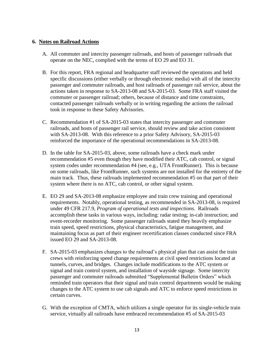#### **6. Notes on Railroad Actions**

- A. All commuter and intercity passenger railroads, and hosts of passenger railroads that operate on the NEC, complied with the terms of EO 29 and EO 31.
- B. For this report, FRA regional and headquarter staff reviewed the operations and held specific discussions (either verbally or through electronic media) with all of the intercity passenger and commuter railroads, and host railroads of passenger rail service, about the actions taken in response to SA-2013-08 and SA-2015-03. Some FRA staff visited the commuter or passenger railroad; others, because of distance and time constraints, contacted passenger railroads verbally or in writing regarding the actions the railroad took in response to these Safety Advisories.
- C. Recommendation #1 of SA-2015-03 states that intercity passenger and commuter railroads, and hosts of passenger rail service, should review and take action consistent with SA-2013-08. With this reference to a prior Safety Advisory, SA-2015-03 reinforced the importance of the operational recommendations in SA-2013-08.
- D. In the table for SA-2015-03, above, some railroads have a check mark under recommendation #5 even though they have modified their ATC, cab control, or signal system codes under recommendation #4 (see, e.g., UTA FrontRunner). This is because on some railroads, like FrontRunner, such systems are not installed for the entirety of the main track. Thus, these railroads implemented recommendation #5 on that part of their system where there is no ATC, cab control, or other signal system.
- E. EO 29 and SA-2013-08 emphasize employee and train crew training and operational requirements. Notably, operational testing, as recommended in SA-2013-08, is required under 49 CFR 217.9, *Program of operational tests and inspections*. Railroads accomplish these tasks in various ways, including: radar testing; in-cab instruction; and event-recorder monitoring. Some passenger railroads stated they heavily emphasize train speed, speed restrictions, physical characteristics, fatigue management, and maintaining focus as part of their engineer recertification classes conducted since FRA issued EO 29 and SA-2013-08.
- F. SA-2015-03 emphasizes changes to the railroad's physical plan that can assist the train crews with reinforcing speed change requirements at civil speed restrictions located at tunnels, curves, and bridges. Changes include modifications to the ATC system or signal and train control system, and installation of wayside signage. Some intercity passenger and commuter railroads submitted "Supplemental Bulletin Orders" which reminded train operators that their signal and train control departments would be making changes to the ATC system to use cab signals and ATC to enforce speed restrictions in certain curves.
- G. With the exception of CMTA, which utilizes a single operator for its single-vehicle train service, virtually all railroads have embraced recommendation #5 of SA-2015-03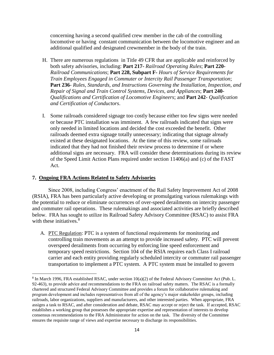concerning having a second qualified crew member in the cab of the controlling locomotive or having constant communication between the locomotive engineer and an additional qualified and designated crewmember in the body of the train.

- H. There are numerous regulations in Title 49 CFR that are applicable and reinforced by both safety advisories, including: **Part 217-** *Railroad Operating Rules*; **Part 220-** *Railroad Communications*; **Part 228, Subpart F-** *Hours of Service Requirements for Train Employees Engaged in Commuter or Intercity Rail Passenger Transportation*; **Part 236**- *Rules, Standards, and Instructions Governing the Installation, Inspection, and Repair of Signal and Train Control Systems, Devices, and Appliances*; **Part 240**- *Qualifications and Certification of Locomotive Engineers*; and **Part 242**- *Qualification and Certification of Conductors*.
- I. Some railroads considered signage too costly because either too few signs were needed or because PTC installation was imminent. A few railroads indicated that signs were only needed in limited locations and decided the cost exceeded the benefit. Other railroads deemed extra signage totally unnecessary; indicating that signage already existed at these designated locations. At the time of this review, some railroads indicated that they had not finished their review process to determine if or where additional signs are necessary. FRA will consider these determinations during its review of the Speed Limit Action Plans required under section 11406(a) and (c) of the FAST Act.

#### **7. Ongoing FRA Actions Related to Safety Advisories**

 $\overline{\phantom{a}}$ 

Since 2008, including Congress' enactment of the Rail Safety Improvement Act of 2008 (RSIA), FRA has been particularly active developing or promulgating various rulemakings with the potential to reduce or eliminate occurrences of over-speed derailments on intercity passenger and commuter rail operations. These rulemakings and associated activities are briefly described below. FRA has sought to utilize its Railroad Safety Advisory Committee (RSAC) to assist FRA with these initiatives.<sup>8</sup>

A. PTC Regulation: PTC is a system of functional requirements for monitoring and controlling train movements as an attempt to provide increased safety. PTC will prevent overspeed derailments from occurring by enforcing line speed enforcement and temporary speed restrictions. Section 104 of the RSIA requires each Class I railroad carrier and each entity providing regularly scheduled intercity or commuter rail passenger transportation to implement a PTC system. A PTC system must be installed to govern

<sup>&</sup>lt;sup>8</sup> In March 1996, FRA established RSAC, under section 10(a)(2) of the Federal Advisory Committee Act (Pub. L. 92-463), to provide advice and recommendations to the FRA on railroad safety matters. The RSAC is a formally chartered and structured Federal Advisory Committee and provides a forum for collaborative rulemaking and program development and includes representatives from all of the agency's major stakeholder groups, including railroads, labor organizations, suppliers and manufacturers, and other interested parties. When appropriate, FRA assigns a task to RSAC, and after consideration and debate, RSAC may accept or reject the task. If accepted, RSAC establishes a working group that possesses the appropriate expertise and representation of interests to develop consensus recommendations to the FRA Administrator for action on the task. The diversity of the Committee ensures the requisite range of views and expertise necessary to discharge its responsibilities.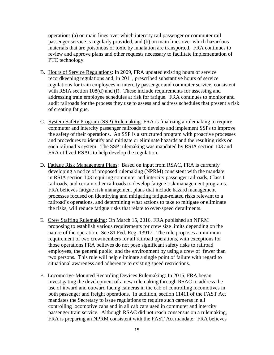operations (a) on main lines over which intercity rail passenger or commuter rail passenger service is regularly provided, and (b) on main lines over which hazardous materials that are poisonous or toxic by inhalation are transported. FRA continues to review and approve plans and other requests necessary to facilitate implementation of PTC technology.

- B. Hours of Service Regulations: In 2009, FRA updated existing hours of service recordkeeping regulations and, in 2011, prescribed substantive hours of service regulations for train employees in intercity passenger and commuter service, consistent with RSIA section 108(d) and (f). These include requirements for assessing and addressing train employee schedules at risk for fatigue. FRA continues to monitor and audit railroads for the process they use to assess and address schedules that present a risk of creating fatigue.
- C. System Safety Program (SSP) Rulemaking: FRA is finalizing a rulemaking to require commuter and intercity passenger railroads to develop and implement SSPs to improve the safety of their operations. An SSP is a structured program with proactive processes and procedures to identify and mitigate or eliminate hazards and the resulting risks on each railroad's system. The SSP rulemaking was mandated by RSIA section 103 and FRA utilized RSAC to help develop the regulation.
- D. Fatigue Risk Management Plans: Based on input from RSAC, FRA is currently developing a notice of proposed rulemaking (NPRM) consistent with the mandate in RSIA section 103 requiring commuter and intercity passenger railroads, Class I railroads, and certain other railroads to develop fatigue risk management programs. FRA believes fatigue risk management plans that include hazard management processes focused on identifying and mitigating fatigue-related risks relevant to a railroad's operations, and determining what actions to take to mitigate or eliminate the risks, will reduce fatigue risks that relate to over-speed derailments.
- E. Crew Staffing Rulemaking: On March 15, 2016, FRA published an NPRM proposing to establish various requirements for crew size limits depending on the nature of the operation. See 81 Fed. Reg. 13917. The rule proposes a minimum requirement of two crewmembers for all railroad operations, with exceptions for those operations FRA believes do not pose significant safety risks to railroad employees, the general public, and the environment by using a crew of fewer than two persons. This rule will help eliminate a single point of failure with regard to situational awareness and adherence to existing speed restrictions.
- F. Locomotive-Mounted Recording Devices Rulemaking: In 2015, FRA began investigating the development of a new rulemaking through RSAC to address the use of inward and outward facing cameras in the cab of controlling locomotives in both passenger and freight operations. In addition, section 11411 of the FAST Act mandates the Secretary to issue regulations to require such cameras in all controlling locomotive cabs and in all cab cars used in commuter and intercity passenger train service. Although RSAC did not reach consensus on a rulemaking, FRA is preparing an NPRM consistent with the FAST Act mandate. FRA believes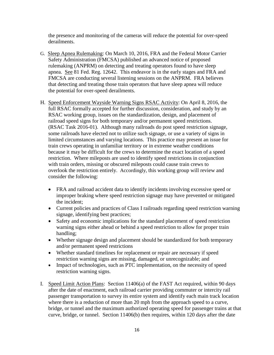the presence and monitoring of the cameras will reduce the potential for over-speed derailments.

- G. Sleep Apnea Rulemaking: On March 10, 2016, FRA and the Federal Motor Carrier Safety Administration (FMCSA) published an advanced notice of proposed rulemaking (ANPRM) on detecting and treating operators found to have sleep apnea. See 81 Fed. Reg. 12642. This endeavor is in the early stages and FRA and FMCSA are conducting several listening sessions on the ANPRM. FRA believes that detecting and treating those train operators that have sleep apnea will reduce the potential for over-speed derailments.
- H. Speed Enforcement Wayside Warning Signs RSAC Activity: On April 8, 2016, the full RSAC formally accepted for further discussion, consideration, and study by an RSAC working group, issues on the standardization, design, and placement of railroad speed signs for both temporary and/or permanent speed restrictions. (RSAC Task 2016-01). Although many railroads do post speed restriction signage, some railroads have elected not to utilize such signage, or use a variety of signs in limited circumstances and varying locations. This practice may present an issue for train crews operating in unfamiliar territory or in extreme weather conditions because it may be difficult for the crews to determine the exact location of a speed restriction. Where mileposts are used to identify speed restrictions in conjunction with train orders, missing or obscured mileposts could cause train crews to overlook the restriction entirely. Accordingly, this working group will review and consider the following:
	- FRA and railroad accident data to identify incidents involving excessive speed or improper braking where speed restriction signage may have prevented or mitigated the incident;
	- Current policies and practices of Class I railroads regarding speed restriction warning signage, identifying best practices;
	- Safety and economic implications for the standard placement of speed restriction warning signs either ahead or behind a speed restriction to allow for proper train handling;
	- Whether signage design and placement should be standardized for both temporary and/or permanent speed restrictions
	- Whether standard timelines for replacement or repair are necessary if speed restriction warning signs are missing, damaged, or unrecognizable; and
	- Impact of technologies, such as PTC implementation, on the necessity of speed restriction warning signs.
- I. Speed Limit Action Plans: Section 11406(a) of the FAST Act required, within 90 days after the date of enactment, each railroad carrier providing commuter or intercity rail passenger transportation to survey its entire system and identify each main track location where there is a reduction of more than 20 mph from the approach speed to a curve, bridge, or tunnel and the maximum authorized operating speed for passenger trains at that curve, bridge, or tunnel. Section 11406(b) then requires, within 120 days after the date